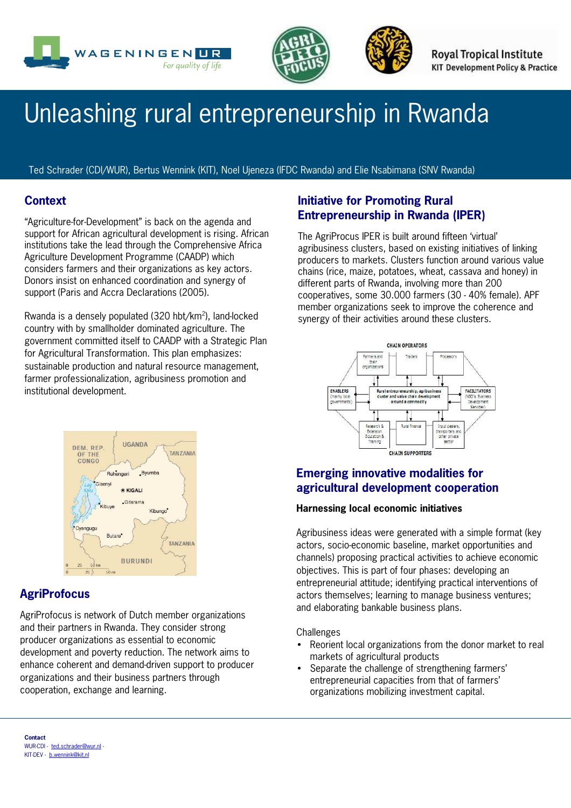



**Royal Tropical Institute KIT Development Policy & Practice** 

# Unleashing rural entrepreneurship in Rwanda

Ted Schrader (CDI/WUR), Bertus Wennink (KIT), Noel Ujeneza (IFDC Rwanda) and Elie Nsabimana (SNV Rwanda)

## **Context**

"Agriculture-for-Development" is back on the agenda and support for African agricultural development is rising. African institutions take the lead through the Comprehensive Africa Agriculture Development Programme (CAADP) which considers farmers and their organizations as key actors. Donors insist on enhanced coordination and synergy of support (Paris and Accra Declarations (2005).

Rwanda is a densely populated (320 hbt/km<sup>2</sup>), land-locked country with by smallholder dominated agriculture. The government committed itself to CAADP with a Strategic Plan for Agricultural Transformation. This plan emphasizes: sustainable production and natural resource management, farmer professionalization, agribusiness promotion and institutional development.

## **Initiative for Promoting Rural Entrepreneurship in Rwanda (IPER)**

The AgriProcus IPER is built around fifteen 'virtual' agribusiness clusters, based on existing initiatives of linking producers to markets. Clusters function around various value chains (rice, maize, potatoes, wheat, cassava and honey) in different parts of Rwanda, involving more than 200 cooperatives, some 30,000 farmers (30 - 40% female). APF member organizations seek to improve the coherence and synergy of their activities around these clusters.





# **AgriProfocus**

AgriProfocus is network of Dutch member organizations and their partners in Rwanda. They consider strong producer organizations as essential to economic development and poverty reduction. The network aims to enhance coherent and demand-driven support to producer organizations and their business partners through cooperation, exchange and learning.

# **Emerging innovative modalities for agricultural development cooperation**

#### **Harnessing local economic initiatives**

Agribusiness ideas were generated with a simple format (key actors, socio-economic baseline, market opportunities and channels) proposing practical activities to achieve economic objectives. This is part of four phases: developing an entrepreneurial attitude; identifying practical interventions of actors themselves; learning to manage business ventures; and elaborating bankable business plans.

**Challenges** 

- Reorient local organizations from the donor market to real markets of agricultural products
- Separate the challenge of strengthening farmers' entrepreneurial capacities from that of farmers' organizations mobilizing investment capital.